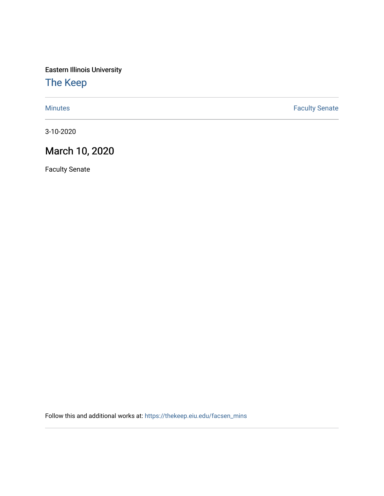Eastern Illinois University

## [The Keep](https://thekeep.eiu.edu/)

[Minutes](https://thekeep.eiu.edu/facsen_mins) **Faculty Senate** 

3-10-2020

## March 10, 2020

Faculty Senate

Follow this and additional works at: [https://thekeep.eiu.edu/facsen\\_mins](https://thekeep.eiu.edu/facsen_mins?utm_source=thekeep.eiu.edu%2Ffacsen_mins%2F1134&utm_medium=PDF&utm_campaign=PDFCoverPages)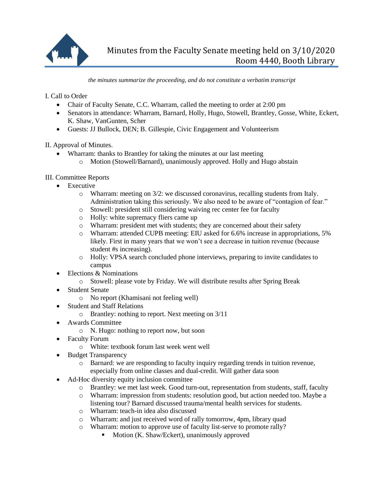

*the minutes summarize the proceeding, and do not constitute a verbatim transcript*

I. Call to Order

- Chair of Faculty Senate, C.C. Wharram, called the meeting to order at 2:00 pm
- Senators in attendance: Wharram, Barnard, Holly, Hugo, Stowell, Brantley, Gosse, White, Eckert, K. Shaw, VanGunten, Scher
- Guests: JJ Bullock, DEN; B. Gillespie, Civic Engagement and Volunteerism

II. Approval of Minutes.

- Wharram: thanks to Brantley for taking the minutes at our last meeting
	- o Motion (Stowell/Barnard), unanimously approved. Holly and Hugo abstain

III. Committee Reports

- Executive
	- $\circ$  Wharram: meeting on 3/2: we discussed coronavirus, recalling students from Italy. Administration taking this seriously. We also need to be aware of "contagion of fear."
	- o Stowell: president still considering waiving rec center fee for faculty
	- o Holly: white supremacy fliers came up
	- o Wharram: president met with students; they are concerned about their safety
	- o Wharram: attended CUPB meeting: EIU asked for 6.6% increase in appropriations, 5% likely. First in many years that we won't see a decrease in tuition revenue (because student #s increasing).
	- o Holly: VPSA search concluded phone interviews, preparing to invite candidates to campus
- Elections & Nominations
	- o Stowell: please vote by Friday. We will distribute results after Spring Break
- Student Senate
	- o No report (Khamisani not feeling well)
	- Student and Staff Relations
		- o Brantley: nothing to report. Next meeting on 3/11
- Awards Committee
	- o N. Hugo: nothing to report now, but soon
- Faculty Forum
	- o White: textbook forum last week went well
- Budget Transparency
	- o Barnard: we are responding to faculty inquiry regarding trends in tuition revenue, especially from online classes and dual-credit. Will gather data soon
- Ad-Hoc diversity equity inclusion committee
	- o Brantley: we met last week. Good turn-out, representation from students, staff, faculty
	- o Wharram: impression from students: resolution good, but action needed too. Maybe a listening tour? Barnard discussed trauma/mental health services for students.
	- o Wharram: teach-in idea also discussed
	- o Wharram: and just received word of rally tomorrow, 4pm, library quad
	- o Wharram: motion to approve use of faculty list-serve to promote rally?
		- Motion (K. Shaw/Eckert), unanimously approved